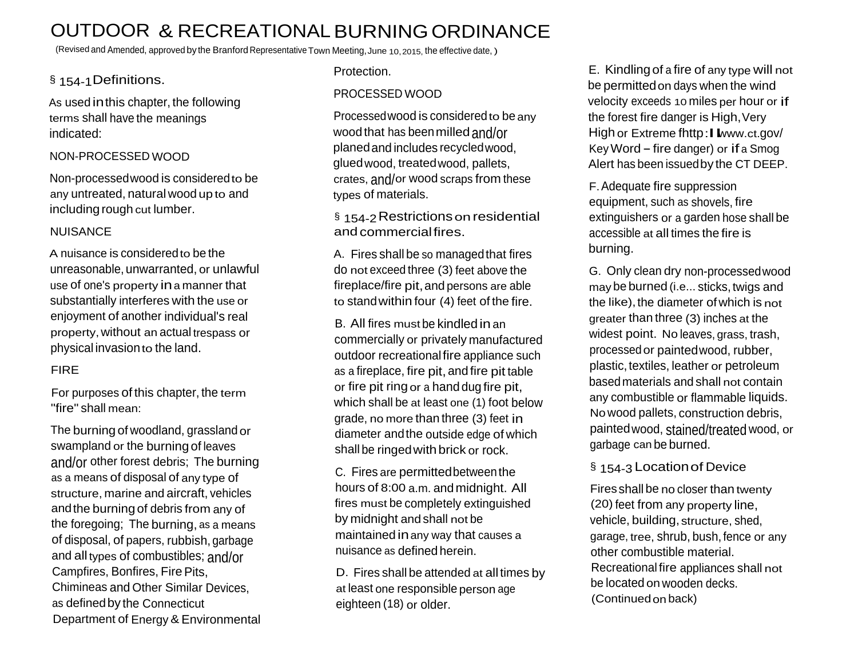# OUTDOOR & RECREATIONALBURNINGORDINANCE

(Revised and Amended, approved by the Branford Representative Town Meeting,June 10,2015, the effective date, )

## § 154-1Definitions.

As used inthis chapter, the following terms shall have the meanings indicated:

#### NON-PROCESSED WOOD

Non-processedwood is consideredto be any untreated, natural wood up to and including rough cut lumber.

#### NUISANCE

A nuisance is consideredto be the unreasonable, unwarranted, or unlawful use of one's property ina manner that substantially interferes with the use or enjoyment of another individual's real property,without an actual trespass or physical invasionto the land.

#### FIRE

For purposes of this chapter, the term "fire" shall mean:

The burning of woodland, grassland or swampland or the burning of leaves and/or other forest debris; The burning as a means of disposal of any type of structure, marine and aircraft, vehicles andthe burning of debris from any of the foregoing; The burning, as a means of disposal, of papers, rubbish,garbage and all types of combustibles; and/or Campfires, Bonfires, Fire Pits, Chimineas and Other Similar Devices, as defined by the Connecticut Department of Energy & Environmental Protection.

### PROCESSED WOOD

Processedwood is consideredto be any wood that has been milled and/or planedand includes recycledwood, gluedwood, treatedwood, pallets, crates, and/or wood scraps from these types of materials.

§ 154-2 Restrictions on residential andcommercialfires.

A. Fires shall be so managedthat fires do not exceed three (3) feet above the fireplace/fire pit,and persons are able to standwithin four (4) feet of the fire.

B. All fires must be kindled in an commercially or privately manufactured outdoor recreationalfire appliance such as a fireplace, fire pit, and fire pit table or fire pit ring or a hand dug fire pit, which shall be at least one (1) foot below grade, no more than three (3) feet in diameter andthe outside edge of which shall be ringed with brick or rock.

C. Fires are permittedbetweenthe hours of 8:00 a.m. and midnight. All fires must be completely extinguished by midnight and shall not be maintained inany way that causes a nuisance as defined herein.

D. Fires shall be attended at all times by at least one responsible person age eighteen (18) or older.

E. Kindlingof a fire of any type will not be permittedon days when the wind velocity exceeds <sup>10</sup> miles per hour or if the forest fire danger is High, Very High or Extreme fhttp: I www.ct.gov/ Key Word – fire danger) or if a Smog Alert has been issuedby the CT DEEP.

F.Adequate fire suppression equipment, such as shovels, fire extinguishers or a garden hose shall be accessible at all times the fire is burning.

G. Only clean dry non-processedwood may be burned (i.e... sticks, twigs and the like), the diameter of which is not greater than three (3) inches at the widest point. No leaves, grass, trash, processedor paintedwood, rubber, plastic, textiles, leather or petroleum basedmaterials and shall not contain any combustible or flammable liquids. Nowood pallets, construction debris, paintedwood, stained/treated wood, or garbage can be burned.

### § 154-3 Location of Device

Fires shall be no closer than twenty (20) feet from any property line, vehicle, building, structure, shed, garage, tree, shrub, bush, fence or any other combustible material. Recreational fire appliances shall not be located on wooden decks. (Continuedon back)